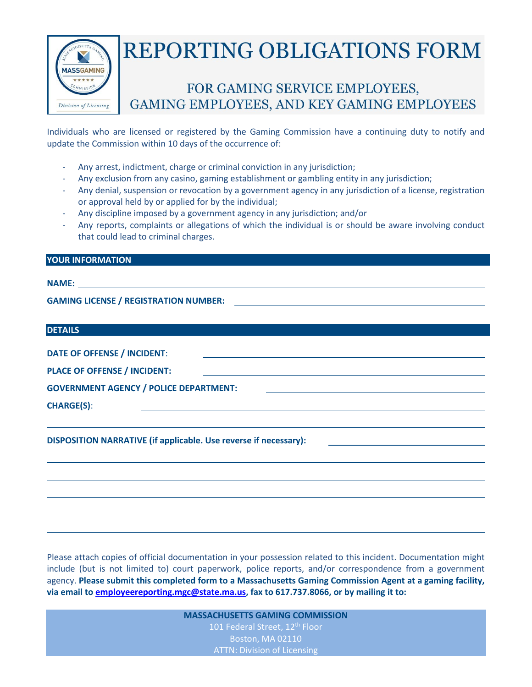

## **REPORTING OBLIGATIONS FORM**

## FOR GAMING SERVICE EMPLOYEES, **GAMING EMPLOYEES, AND KEY GAMING EMPLOYEES**

Individuals who are licensed or registered by the Gaming Commission have a continuing duty to notify and update the Commission within 10 days of the occurrence of:

- Any arrest, indictment, charge or criminal conviction in any jurisdiction;
- Any exclusion from any casino, gaming establishment or gambling entity in any jurisdiction;
- Any denial, suspension or revocation by a government agency in any jurisdiction of a license, registration or approval held by or applied for by the individual;
- Any discipline imposed by a government agency in any jurisdiction; and/or
- Any reports, complaints or allegations of which the individual is or should be aware involving conduct that could lead to criminal charges.

## **YOUR INFORMATION**

## **NAME:**

**GAMING LICENSE / REGISTRATION NUMBER:**

| <b>DETAILS</b>                                                   |  |
|------------------------------------------------------------------|--|
| <b>DATE OF OFFENSE / INCIDENT:</b>                               |  |
| <b>PLACE OF OFFENSE / INCIDENT:</b>                              |  |
| <b>GOVERNMENT AGENCY / POLICE DEPARTMENT:</b>                    |  |
| <b>CHARGE(S):</b>                                                |  |
|                                                                  |  |
| DISPOSITION NARRATIVE (if applicable. Use reverse if necessary): |  |

Please attach copies of official documentation in your possession related to this incident. Documentation might include (but is not limited to) court paperwork, police reports, and/or correspondence from a government agency. **Please submit this completed form to a Massachusetts Gaming Commission Agent at a gaming facility, via email to [employeereporting.mgc@state.ma.us,](mailto:employeereporting.mgc@state.ma.us) fax to 617.737.8066, or by mailing it to:** 

> **MASSACHUSETTS GAMING COMMISSION** 101 Federal Street, 12<sup>th</sup> Floor Boston, MA 02110 ATTN: Division of Licensing